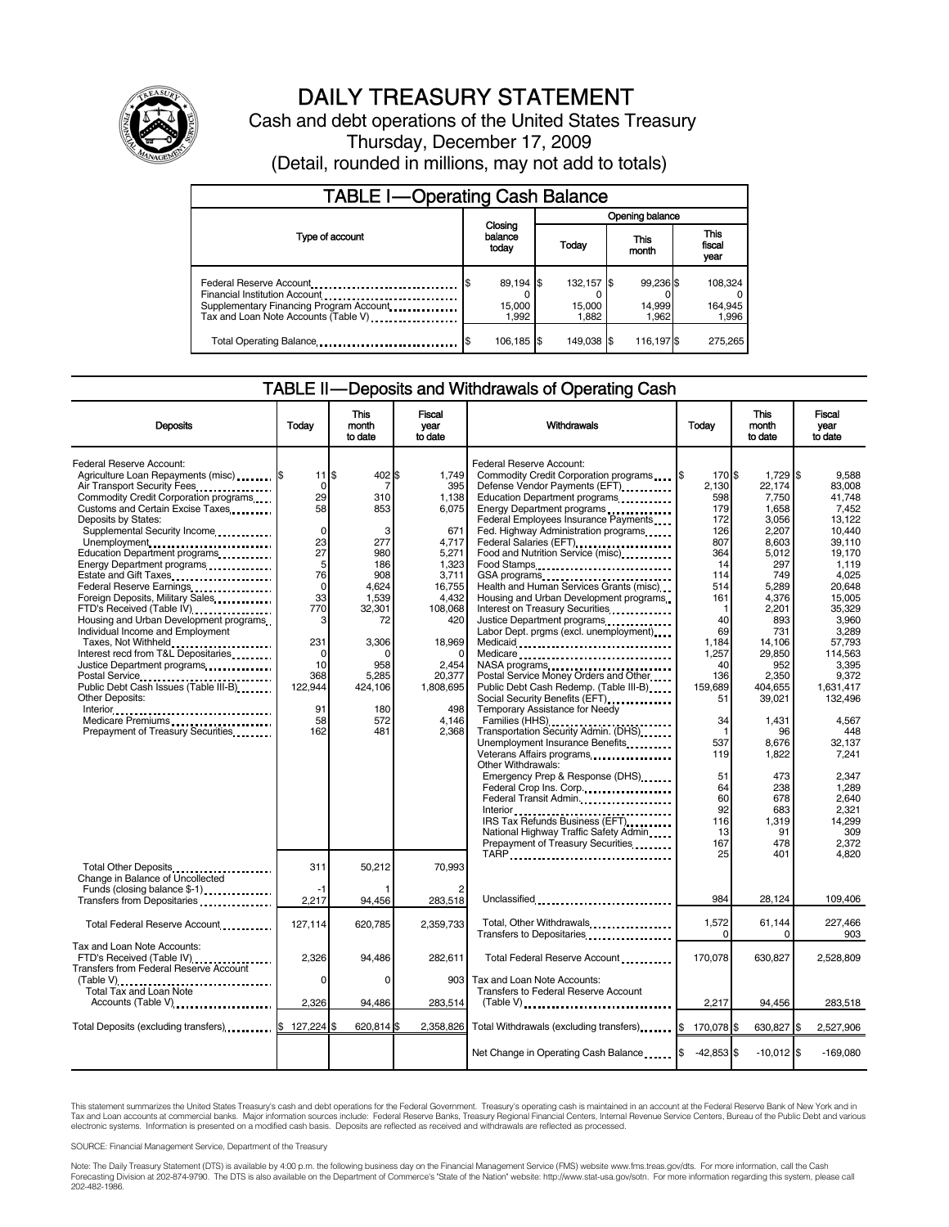

# DAILY TREASURY STATEMENT

Cash and debt operations of the United States Treasury Thursday, December 17, 2009 (Detail, rounded in millions, may not add to totals)

| <b>TABLE I-Operating Cash Balance</b>                                                                                                       |                                   |                               |                              |                               |  |  |
|---------------------------------------------------------------------------------------------------------------------------------------------|-----------------------------------|-------------------------------|------------------------------|-------------------------------|--|--|
|                                                                                                                                             |                                   | Opening balance               |                              |                               |  |  |
| Type of account                                                                                                                             | Closing<br>balance<br>today       | Today                         | This<br>month                | <b>This</b><br>fiscal<br>year |  |  |
| Federal Reserve Account<br>Financial Institution Account<br>Supplementary Financing Program Account<br>Tax and Loan Note Accounts (Table V) | 89,194 \$<br>S<br>15,000<br>1.992 | 132.157 \$<br>15,000<br>1.882 | 99,236 \$<br>14,999<br>1.962 | 108.324<br>164,945<br>1.996   |  |  |
| Total Operating Balance                                                                                                                     | 106,185 \$<br>'S                  | 149.038 \$                    | 116,197                      | 275.265                       |  |  |

# TABLE II — Deposits and Withdrawals of Operating Cash

| <b>Deposits</b>                                                                                  | Todav             | <b>This</b><br>month<br>to date | <b>Fiscal</b><br>year<br>to date | Withdrawals                                                                                            | Todav           | <b>This</b><br>month<br>to date | <b>Fiscal</b><br>vear<br>to date |
|--------------------------------------------------------------------------------------------------|-------------------|---------------------------------|----------------------------------|--------------------------------------------------------------------------------------------------------|-----------------|---------------------------------|----------------------------------|
| Federal Reserve Account:<br>Agriculture Loan Repayments (misc)  S<br>Air Transport Security Fees | 11<br>$\mathbf 0$ | Ŝ.<br>402 \$<br>7               | 1,749<br>395                     | Federal Reserve Account:<br>Commodity Credit Corporation programs \,\<br>Defense Vendor Payments (EFT) | 170 \$<br>2.130 | 1,729 \$<br>22.174              | 9.588<br>83.008                  |
| Commodity Credit Corporation programs                                                            | 29                | 310                             | 1,138                            | Education Department programs                                                                          | 598             | 7,750                           | 41,748                           |
| Customs and Certain Excise Taxes                                                                 | 58                | 853                             | 6,075                            | Energy Department programs                                                                             | 179             | 1,658                           | 7,452                            |
| Deposits by States:                                                                              |                   |                                 |                                  | Federal Employees Insurance Payments                                                                   | 172             | 3,056                           | 13.122                           |
| Supplemental Security Income                                                                     | $\mathbf 0$       | 3                               | 671                              | Fed. Highway Administration programs                                                                   | 126             | 2.207                           | 10.440                           |
| Unemployment                                                                                     | 23                | 277                             | 4,717                            | Federal Salaries (EFT)<br>                                                                             | 807             | 8,603                           | 39.110                           |
| Education Department programs                                                                    | 27                | 980                             | 5,271                            | Food and Nutrition Service (misc)                                                                      | 364             | 5,012                           | 19.170                           |
| Energy Department programs<br>                                                                   | 5                 | 186                             | 1,323                            | Food Stamps                                                                                            | 14              | 297                             | 1.119                            |
| Estate and Gift Taxes <b>[10] Example 20</b>                                                     | 76                | 908                             | 3,711                            |                                                                                                        | 114             | 749                             | 4,025                            |
| Federal Reserve Earnings                                                                         | $\mathbf 0$       | 4,624                           | 16,755                           | GSA programs<br>Health and Human Services Grants (misc)                                                | 514             | 5,289                           | 20.648                           |
| Foreign Deposits, Military Sales                                                                 | 33                | 1,539                           | 4.432                            | Housing and Urban Development programs                                                                 | 161             | 4,376                           | 15.005                           |
| FTD's Received (Table IV)                                                                        | 770               | 32.301                          | 108,068                          | Interest on Treasury Securities                                                                        | 1               | 2,201                           | 35.329                           |
| Housing and Urban Development programs                                                           | 3                 | 72                              | 420                              | Justice Department programs<br>                                                                        | 40              | 893                             | 3.960                            |
| Individual Income and Employment                                                                 |                   |                                 |                                  | Labor Dept. prgms (excl. unemployment)                                                                 | 69              | 731                             | 3.289                            |
| Taxes, Not Withheld                                                                              | 231               | 3.306                           | 18.969                           | Medicaid<br>Medicare                                                                                   | 1.184           | 14.106                          | 57.793                           |
| Interest recd from T&L Depositaries                                                              | $\mathbf 0$       |                                 | 0                                |                                                                                                        | 1,257           | 29,850                          | 114,563                          |
| Justice Department programs                                                                      | 10                | 958                             | 2,454                            | NASA programs                                                                                          | 40              | 952                             | 3.395                            |
|                                                                                                  | 368<br>122.944    | 5.285                           | 20.377                           | Postal Service Money Orders and Other                                                                  | 136             | 2.350                           | 9.372                            |
| Public Debt Cash Issues (Table III-B)<br>Other Deposits:                                         |                   | 424.106                         | 1.808.695                        | Public Debt Cash Redemp. (Table III-B)<br>Social Security Benefits (EFT)                               | 159,689<br>51   | 404.655<br>39,021               | 1.631.417<br>132,496             |
|                                                                                                  | 91                | 180                             | 498                              | Temporary Assistance for Needy                                                                         |                 |                                 |                                  |
| Medicare Premiums<br>                                                                            | 58                | 572                             | 4.146                            | Families (HHS)                                                                                         | 34              | 1,431                           | 4.567                            |
| Prepayment of Treasury Securities                                                                | 162               | 481                             | 2,368                            | Transportation Security Admin. (DHS)                                                                   | 1               | 96                              | 448                              |
|                                                                                                  |                   |                                 |                                  | Unemployment Insurance Benefits                                                                        | 537             | 8.676                           | 32.137                           |
|                                                                                                  |                   |                                 |                                  |                                                                                                        | 119             | 1.822                           | 7.241                            |
|                                                                                                  |                   |                                 |                                  | Other Withdrawals:                                                                                     |                 |                                 |                                  |
|                                                                                                  |                   |                                 |                                  | Emergency Prep & Response (DHS)                                                                        | 51              | 473                             | 2.347                            |
|                                                                                                  |                   |                                 |                                  | Federal Crop Ins. Corp.                                                                                | 64              | 238                             | 1.289                            |
|                                                                                                  |                   |                                 |                                  | Federal Transit Admin.                                                                                 | 60              | 678                             | 2.640                            |
|                                                                                                  |                   |                                 |                                  |                                                                                                        | 92              | 683                             | 2,321                            |
|                                                                                                  |                   |                                 |                                  | IRS Tax Refunds Business (EFT)                                                                         | 116             | 1,319                           | 14.299                           |
|                                                                                                  |                   |                                 |                                  | National Highway Traffic Safety Admin                                                                  | 13              | 91                              | 309                              |
|                                                                                                  |                   |                                 |                                  | Prepayment of Treasury Securities<br>TARP                                                              | 167<br>25       | 478<br>401                      | 2.372<br>4,820                   |
|                                                                                                  | 311               | 50,212                          | 70,993                           |                                                                                                        |                 |                                 |                                  |
| Total Other Deposits<br>Change in Balance of Uncollected                                         |                   |                                 |                                  |                                                                                                        |                 |                                 |                                  |
| Funds (closing balance \$-1)                                                                     | $-1$              |                                 |                                  |                                                                                                        |                 |                                 |                                  |
| Transfers from Depositaries                                                                      | 2,217             | 94,456                          | 283,518                          | Unclassified                                                                                           | 984             | 28,124                          | 109,406                          |
|                                                                                                  |                   |                                 |                                  |                                                                                                        |                 |                                 |                                  |
| Total Federal Reserve Account                                                                    | 127.114           | 620.785                         | 2.359.733                        | Total, Other Withdrawals                                                                               | 1,572           | 61,144                          | 227,466                          |
|                                                                                                  |                   |                                 |                                  | Transfers to Depositaries                                                                              | $\Omega$        | 0                               | 903                              |
| Tax and Loan Note Accounts:                                                                      |                   |                                 |                                  |                                                                                                        |                 |                                 |                                  |
| FTD's Received (Table IV)                                                                        | 2,326             | 94.486                          | 282,611                          | Total Federal Reserve Account                                                                          | 170.078         | 630.827                         | 2,528,809                        |
| <b>Transfers from Federal Reserve Account</b>                                                    | 0                 | $\Omega$                        | 903                              | Tax and Loan Note Accounts:                                                                            |                 |                                 |                                  |
| (Table V)<br>Total Tax and Loan Note                                                             |                   |                                 |                                  | Transfers to Federal Reserve Account                                                                   |                 |                                 |                                  |
| Accounts (Table V)                                                                               | 2,326             | 94,486                          | 283,514                          |                                                                                                        | 2,217           | 94,456                          | 283,518                          |
|                                                                                                  |                   |                                 |                                  |                                                                                                        |                 |                                 |                                  |
| Total Deposits (excluding transfers) \$                                                          | 127,224 \$        | 620,814 \$                      | 2,358,826                        | Total Withdrawals (excluding transfers) [\$                                                            | 170,078 \$      | 630,827 \$                      | 2,527,906                        |
|                                                                                                  |                   |                                 |                                  |                                                                                                        |                 |                                 |                                  |
|                                                                                                  |                   |                                 |                                  | Net Change in Operating Cash Balance                                                                   | $-42,853$ \$    | $-10,012$ \$                    | $-169.080$                       |

This statement summarizes the United States Treasury's cash and debt operations for the Federal Government. Treasury's operating cash is maintained in an account at the Federal Reserve Bank of New York and in<br>Tax and Loan

SOURCE: Financial Management Service, Department of the Treasury

Note: The Daily Treasury Statement (DTS) is available by 4:00 p.m. the following business day on the Financial Management Service (FMS) website www.fms.treas.gov/dts. For more information, call the Cash<br>Forecasting Divisio